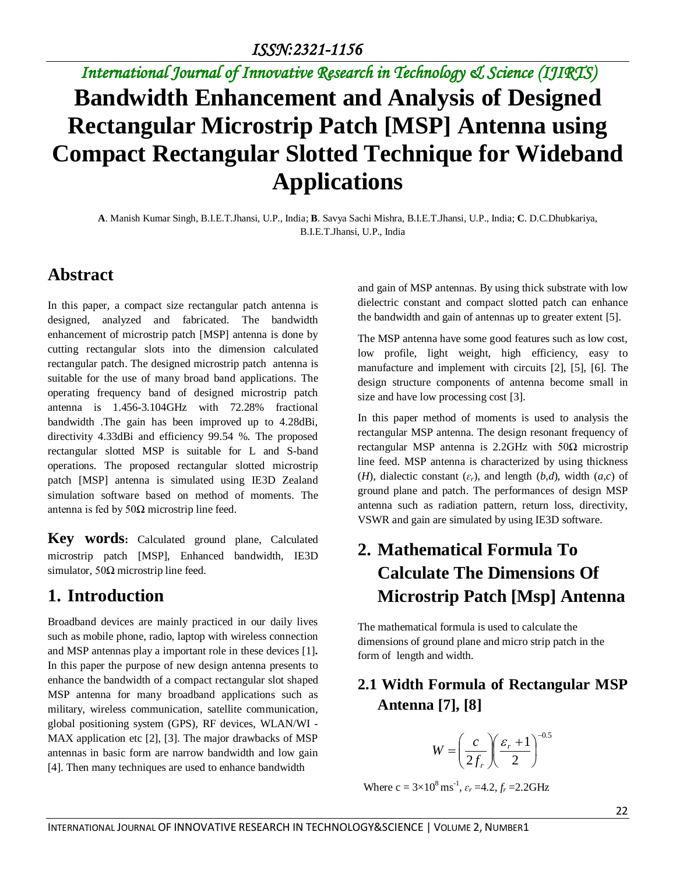## *International Journal of Innovative Research in Technology & Science (IJIRTS)* **Bandwidth Enhancement and Analysis of Designed Rectangular Microstrip Patch [MSP] Antenna using Compact Rectangular Slotted Technique for Wideband Applications**

**A**. Manish Kumar Singh, B.I.E.T.Jhansi, U.P., India; **B**. Savya Sachi Mishra, B.I.E.T.Jhansi, U.P., India; **C**. D.C.Dhubkariya, B.I.E.T.Jhansi, U.P., India

## **Abstract**

In this paper, a compact size rectangular patch antenna is designed, analyzed and fabricated. The bandwidth enhancement of microstrip patch [MSP] antenna is done by cutting rectangular slots into the dimension calculated rectangular patch. The designed microstrip patch antenna is suitable for the use of many broad band applications. The operating frequency band of designed microstrip patch antenna is 1.456-3.104GHz with 72.28% fractional bandwidth .The gain has been improved up to 4.28dBi, directivity 4.33dBi and efficiency 99.54 %. The proposed rectangular slotted MSP is suitable for L and S-band operations. The proposed rectangular slotted microstrip patch [MSP] antenna is simulated using IE3D Zealand simulation software based on method of moments. The antenna is fed by  $50Ω$  microstrip line feed.

**Key words:** Calculated ground plane, Calculated microstrip patch [MSP], Enhanced bandwidth, IE3D simulator,  $50\Omega$  microstrip line feed.

### **1. Introduction**

Broadband devices are mainly practiced in our daily lives such as mobile phone, radio, laptop with wireless connection and MSP antennas play a important role in these devices [1]**.** In this paper the purpose of new design antenna presents to enhance the bandwidth of a compact rectangular slot shaped MSP antenna for many broadband applications such as military, wireless communication, satellite communication, global positioning system (GPS), RF devices, WLAN/WI - MAX application etc [2], [3]. The major drawbacks of MSP antennas in basic form are narrow bandwidth and low gain [4]. Then many techniques are used to enhance bandwidth

and gain of MSP antennas. By using thick substrate with low dielectric constant and compact slotted patch can enhance the bandwidth and gain of antennas up to greater extent [5].

The MSP antenna have some good features such as low cost, low profile, light weight, high efficiency, easy to manufacture and implement with circuits [2], [5], [6]. The design structure components of antenna become small in size and have low processing cost [3].

In this paper method of moments is used to analysis the rectangular MSP antenna. The design resonant frequency of rectangular MSP antenna is 2.2GHz with  $50\Omega$  microstrip line feed. MSP antenna is characterized by using thickness (*H*), dialectic constant  $(\varepsilon_r)$ , and length  $(b,d)$ , width  $(a,c)$  of ground plane and patch. The performances of design MSP antenna such as radiation pattern, return loss, directivity, VSWR and gain are simulated by using IE3D software.

## **2. Mathematical Formula To Calculate The Dimensions Of Microstrip Patch [Msp] Antenna**

The mathematical formula is used to calculate the dimensions of ground plane and micro strip patch in the form of length and width.

### **2.1 Width Formula of Rectangular MSP Antenna [7], [8]**

$$
W = \left(\frac{c}{2f_r}\right)\left(\frac{\varepsilon_r + 1}{2}\right)^{-0.5}
$$

Where  $c = 3 \times 10^8 \text{ ms}^{-1}$ ,  $\varepsilon_r = 4.2$ ,  $f_r = 2.2 \text{GHz}$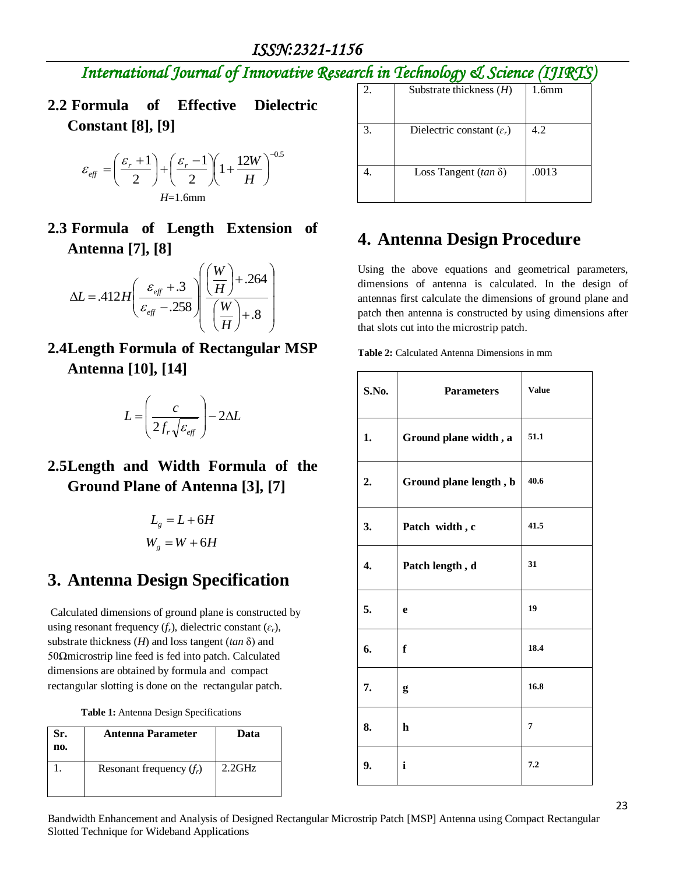### *ISSN:2321-1156*

*International Journal of Innovative Research in Technology & Science (IJIRTS)*

**2.2 Formula of Effective Dielectric Constant [8], [9]**

$$
\varepsilon_{\text{eff}} = \left(\frac{\varepsilon_r + 1}{2}\right) + \left(\frac{\varepsilon_r - 1}{2}\right) \left(1 + \frac{12W}{H}\right)^{-0.5}
$$
  
H=1.6mm

**2.3 Formula of Length Extension of Antenna [7], [8]**

$$
\Delta L = .412 H \left( \frac{\varepsilon_{\text{eff}} + .3}{\varepsilon_{\text{eff}} - .258} \right) \left( \frac{W}{H} \right) + .264
$$

**2.4Length Formula of Rectangular MSP Antenna [10], [14]**

$$
L = \left(\frac{c}{2f_r\sqrt{\varepsilon_{\text{eff}}}}\right) - 2\Delta L
$$

**2.5Length and Width Formula of the Ground Plane of Antenna [3], [7]** 

$$
L_g = L + 6H
$$
  

$$
W_g = W + 6H
$$

### **3. Antenna Design Specification**

Calculated dimensions of ground plane is constructed by using resonant frequency  $(f_r)$ , dielectric constant  $(\varepsilon_r)$ , substrate thickness (*H*) and loss tangent (*tan* δ) and 50Ωmicrostrip line feed is fed into patch. Calculated dimensions are obtained by formula and compact rectangular slotting is done on the rectangular patch.

| <b>Table 1:</b> Antenna Design Specifications |  |  |
|-----------------------------------------------|--|--|
|-----------------------------------------------|--|--|

| Sr.<br>no. | Antenna Parameter          | Data      |
|------------|----------------------------|-----------|
|            | Resonant frequency $(f_t)$ | $2.2$ GHz |

| 2. | Substrate thickness $(H)$             | 1.6 <sub>mm</sub> |
|----|---------------------------------------|-------------------|
| 3. | Dielectric constant $(\varepsilon_r)$ | 4.2               |
|    | Loss Tangent (tan $\delta$ )          | .0013             |

### **4. Antenna Design Procedure**

Using the above equations and geometrical parameters, dimensions of antenna is calculated. In the design of antennas first calculate the dimensions of ground plane and patch then antenna is constructed by using dimensions after that slots cut into the microstrip patch.

| S.No. | <b>Parameters</b>      | <b>Value</b>   |
|-------|------------------------|----------------|
| 1.    | Ground plane width, a  | 51.1           |
| 2.    | Ground plane length, b | 40.6           |
| 3.    | Patch width, c         | 41.5           |
| 4.    | Patch length, d        | 31             |
| 5.    | e                      | 19             |
| 6.    | f                      | 18.4           |
| 7.    | g                      | 16.8           |
| 8.    | $\mathbf h$            | $\overline{7}$ |
| 9.    | i                      | 7.2            |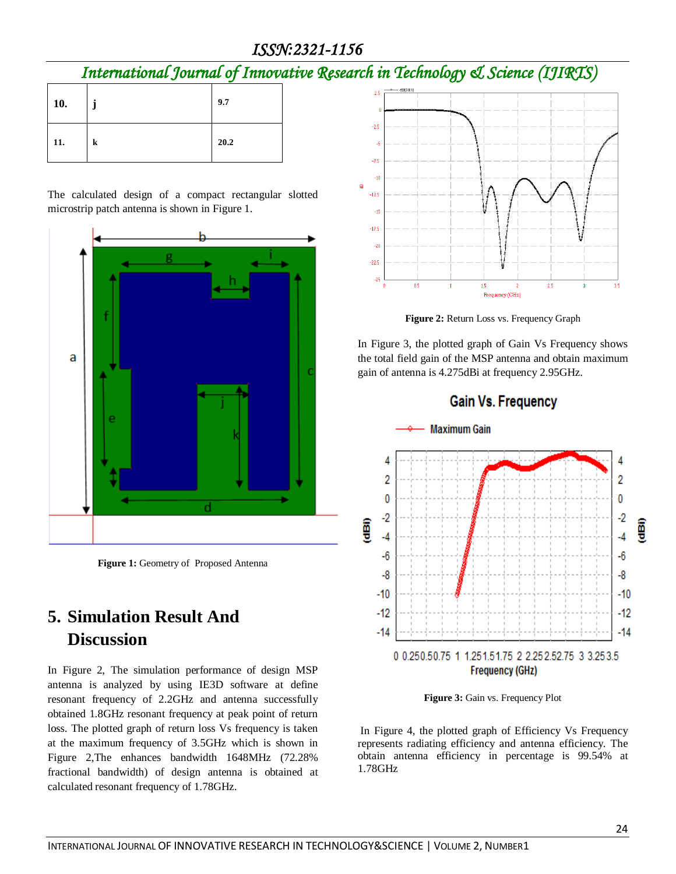*ISSN:2321-1156* 

## *International Journal of Innovative Research in Technology & Science (IJIRTS)*

| 10. | J | 9.7  |
|-----|---|------|
| 11. | k | 20.2 |

The calculated design of a compact rectangular slotted microstrip patch antenna is shown in Figure 1.



**Figure 1:** Geometry of Proposed Antenna

## **5. Simulation Result And Discussion**

In Figure 2, The simulation performance of design MSP antenna is analyzed by using IE3D software at define resonant frequency of 2.2GHz and antenna successfully obtained 1.8GHz resonant frequency at peak point of return loss. The plotted graph of return loss Vs frequency is taken at the maximum frequency of 3.5GHz which is shown in Figure 2,The enhances bandwidth 1648MHz (72.28% fractional bandwidth) of design antenna is obtained at calculated resonant frequency of 1.78GHz.



**Figure 2:** Return Loss vs. Frequency Graph

In Figure 3, the plotted graph of Gain Vs Frequency shows the total field gain of the MSP antenna and obtain maximum gain of antenna is 4.275dBi at frequency 2.95GHz.



**Figure 3:** Gain vs. Frequency Plot

In Figure 4, the plotted graph of Efficiency Vs Frequency represents radiating efficiency and antenna efficiency. The obtain antenna efficiency in percentage is 99.54% at 1.78GHz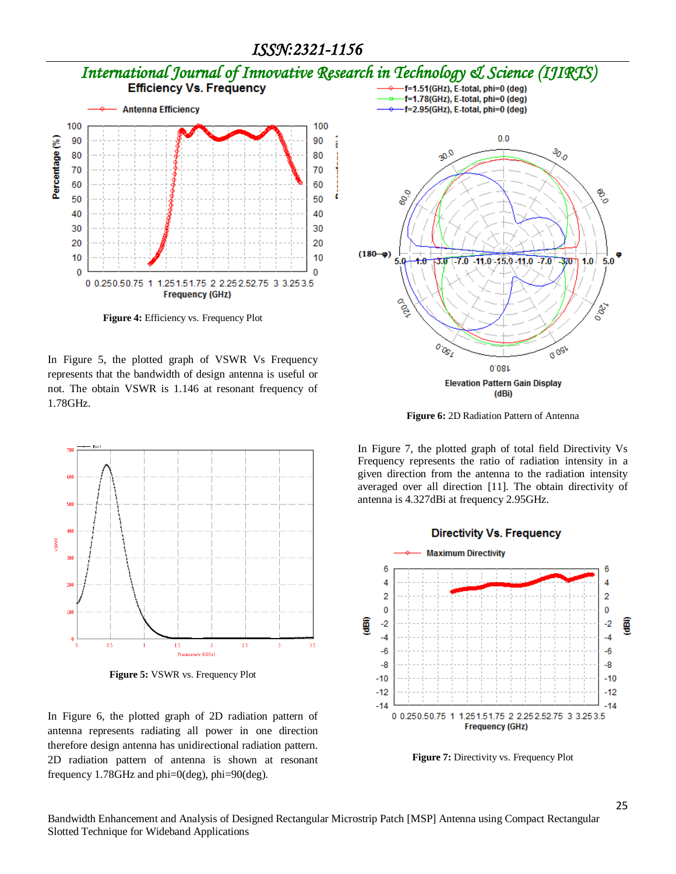# *International Journal of Innovative Research in Technology & Science (IJIRTS)*



**Figure 4:** Efficiency vs. Frequency Plot

In Figure 5, the plotted graph of VSWR Vs Frequency represents that the bandwidth of design antenna is useful or not. The obtain VSWR is 1.146 at resonant frequency of 1.78GHz.



**Figure 5:** VSWR vs. Frequency Plot

In Figure 6, the plotted graph of 2D radiation pattern of antenna represents radiating all power in one direction therefore design antenna has unidirectional radiation pattern. 2D radiation pattern of antenna is shown at resonant frequency 1.78GHz and phi=0(deg), phi=90(deg).



**Figure 6:** 2D Radiation Pattern of Antenna

In Figure 7, the plotted graph of total field Directivity Vs Frequency represents the ratio of radiation intensity in a given direction from the antenna to the radiation intensity averaged over all direction [11]. The obtain directivity of antenna is 4.327dBi at frequency 2.95GHz.



**Figure 7:** Directivity vs. Frequency Plot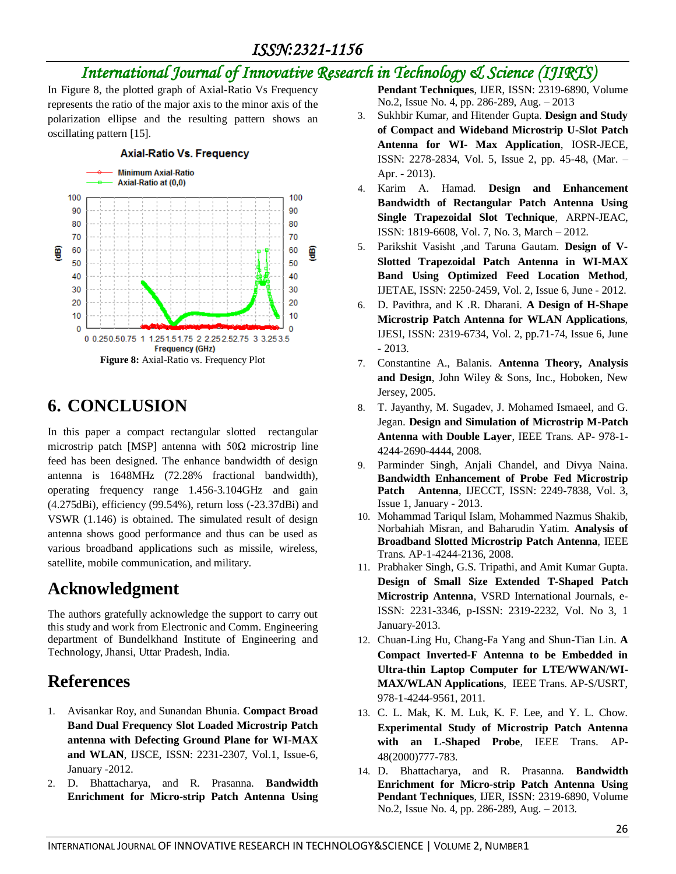### *ISSN:2321-1156*

### *International Journal of Innovative Research in Technology & Science (IJIRTS)*

In Figure 8, the plotted graph of Axial-Ratio Vs Frequency represents the ratio of the major axis to the minor axis of the polarization ellipse and the resulting pattern shows an oscillating pattern [15].



### **6. CONCLUSION**

In this paper a compact rectangular slotted rectangular microstrip patch [MSP] antenna with  $50\Omega$  microstrip line feed has been designed. The enhance bandwidth of design antenna is 1648MHz (72.28% fractional bandwidth), operating frequency range 1.456-3.104GHz and gain (4.275dBi), efficiency (99.54%), return loss (-23.37dBi) and VSWR (1.146) is obtained. The simulated result of design antenna shows good performance and thus can be used as various broadband applications such as missile, wireless, satellite, mobile communication, and military.

### **Acknowledgment**

The authors gratefully acknowledge the support to carry out this study and work from Electronic and Comm. Engineering department of Bundelkhand Institute of Engineering and Technology, Jhansi, Uttar Pradesh, India.

## **References**

- 1. Avisankar Roy, and Sunandan Bhunia. **Compact Broad Band Dual Frequency Slot Loaded Microstrip Patch antenna with Defecting Ground Plane for WI-MAX and WLAN**, IJSCE, ISSN: 2231-2307, Vol.1, Issue-6, January -2012.
- 2. D. Bhattacharya, and R. Prasanna. **Bandwidth Enrichment for Micro-strip Patch Antenna Using**

**Pendant Techniques**, IJER, ISSN: 2319-6890, Volume No.2, Issue No. 4, pp. 286-289, Aug. – 2013

- 3. Sukhbir Kumar, and Hitender Gupta. **Design and Study of Compact and Wideband Microstrip U-Slot Patch Antenna for WI- Max Application**, IOSR-JECE, ISSN: 2278-2834, Vol. 5, Issue 2, pp. 45-48, (Mar. – Apr. - 2013).
- 4. Karim A. Hamad. **Design and Enhancement Bandwidth of Rectangular Patch Antenna Using Single Trapezoidal Slot Technique**, ARPN-JEAC, ISSN: 1819-6608, Vol. 7, No. 3, March – 2012.
- 5. Parikshit Vasisht ,and Taruna Gautam. **Design of V-Slotted Trapezoidal Patch Antenna in WI-MAX Band Using Optimized Feed Location Method**, IJETAE, ISSN: 2250-2459, Vol. 2, Issue 6, June - 2012.
- 6. D. Pavithra, and K .R. Dharani. **A Design of H-Shape Microstrip Patch Antenna for WLAN Applications**, IJESI, ISSN: 2319-6734, Vol. 2, pp.71-74, Issue 6, June - 2013.
- 7. Constantine A., Balanis. **Antenna Theory, Analysis and Design**, John Wiley & Sons, Inc., Hoboken, New Jersey, 2005.
- 8. T. Jayanthy, M. Sugadev, J. Mohamed Ismaeel, and G. Jegan. **Design and Simulation of Microstrip M-Patch Antenna with Double Layer**, IEEE Trans. AP- 978-1- 4244-2690-4444, 2008.
- 9. Parminder Singh, Anjali Chandel, and Divya Naina. **Bandwidth Enhancement of Probe Fed Microstrip Patch Antenna**, IJECCT, ISSN: 2249-7838, Vol. 3, Issue 1, January - 2013.
- 10. Mohammad Tariqul Islam, Mohammed Nazmus Shakib, Norbahiah Misran, and Baharudin Yatim. **Analysis of Broadband Slotted Microstrip Patch Antenna**, IEEE Trans. AP-1-4244-2136, 2008.
- 11. Prabhaker Singh, G.S. Tripathi, and Amit Kumar Gupta. **Design of Small Size Extended T-Shaped Patch Microstrip Antenna**, VSRD International Journals, e-ISSN: 2231-3346, p-ISSN: 2319-2232, Vol. No 3, 1 January-2013.
- 12. Chuan-Ling Hu, Chang-Fa Yang and Shun-Tian Lin. **A Compact Inverted-F Antenna to be Embedded in Ultra-thin Laptop Computer for LTE/WWAN/WI-MAX/WLAN Applications**, IEEE Trans. AP-S/USRT, 978-1-4244-9561, 2011.
- 13. C. L. Mak, K. M. Luk, K. F. Lee, and Y. L. Chow. **Experimental Study of Microstrip Patch Antenna with an L-Shaped Probe**, IEEE Trans. AP-48(2000)777-783.
- 14. D. Bhattacharya, and R. Prasanna. **Bandwidth Enrichment for Micro-strip Patch Antenna Using Pendant Techniques**, IJER, ISSN: 2319-6890, Volume No.2, Issue No. 4, pp. 286-289, Aug. – 2013.